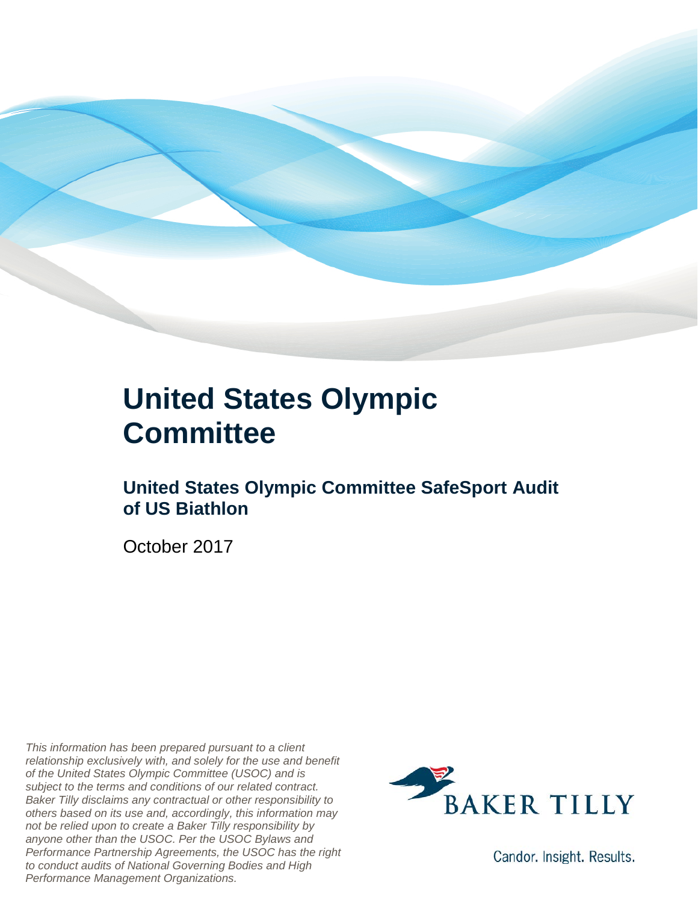

### **United States Olympic Committee**

### **United States Olympic Committee SafeSport Audit of US Biathlon**

October 2017

*This information has been prepared pursuant to a client relationship exclusively with, and solely for the use and benefit of the United States Olympic Committee (USOC) and is subject to the terms and conditions of our related contract. Baker Tilly disclaims any contractual or other responsibility to others based on its use and, accordingly, this information may not be relied upon to create a Baker Tilly responsibility by anyone other than the USOC. Per the USOC Bylaws and Performance Partnership Agreements, the USOC has the right to conduct audits of National Governing Bodies and High Performance Management Organizations.*



Candor. Insight. Results.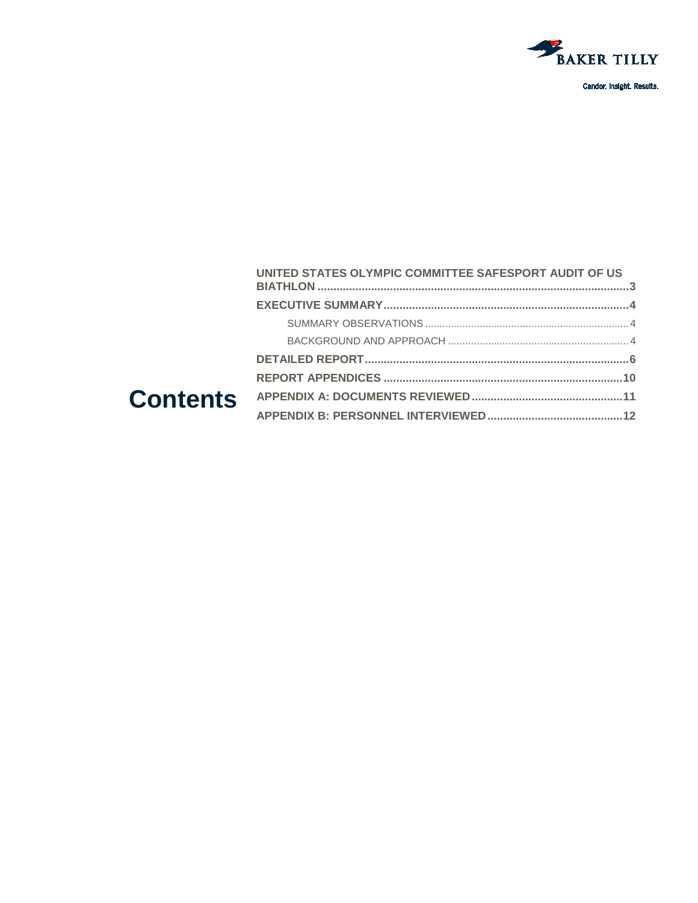

| UNITED STATES OLYMPIC COMMITTEE SAFESPORT AUDIT OF US |  |
|-------------------------------------------------------|--|
|                                                       |  |
|                                                       |  |
|                                                       |  |
|                                                       |  |
|                                                       |  |
|                                                       |  |
|                                                       |  |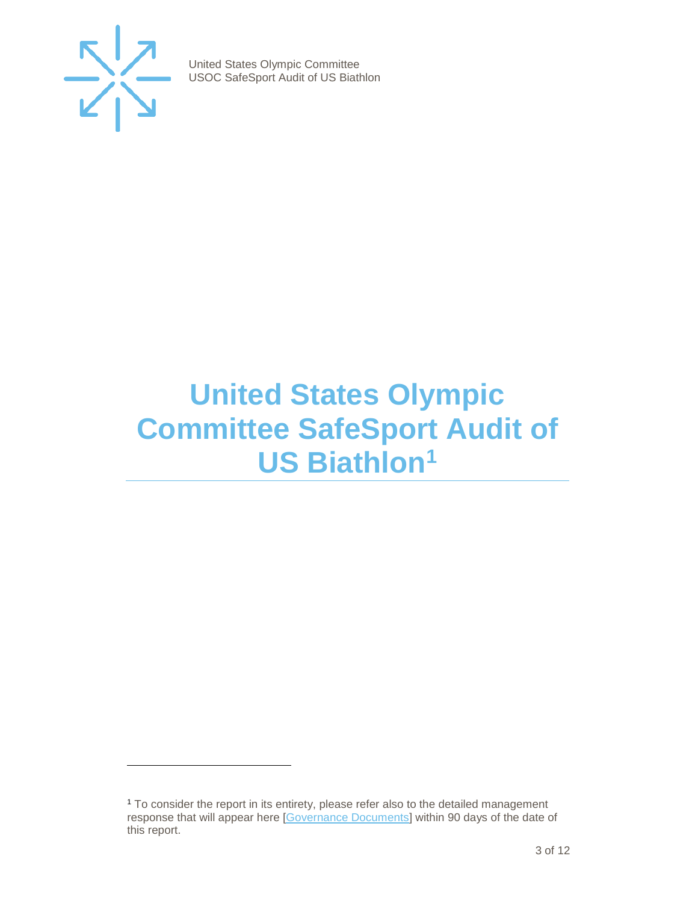

j

United States Olympic Committee USOC SafeSport Audit of US Biathlon

### <span id="page-2-0"></span>**United States Olympic Committee SafeSport Audit of US Biathlon[1](#page-2-1)**

<span id="page-2-1"></span><sup>1</sup> To consider the report in its entirety, please refer also to the detailed management response that will appear here [\[Governance Documents\]](https://www.teamusa.org/Footer/Legal/Governance-Documents) within 90 days of the date of this report.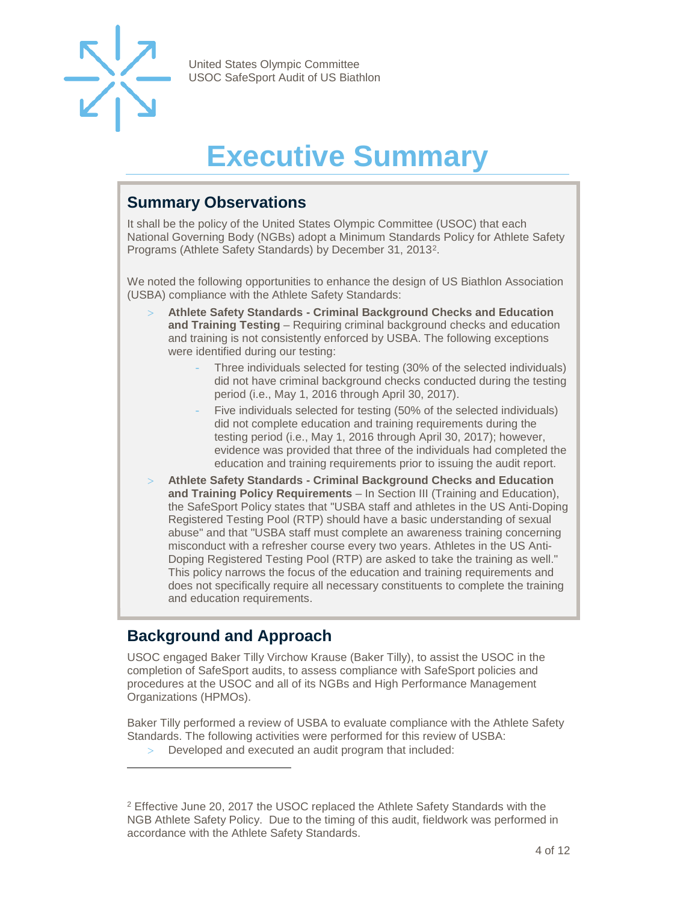

## **Executive Summary**

#### <span id="page-3-1"></span><span id="page-3-0"></span>**Summary Observations**

It shall be the policy of the United States Olympic Committee (USOC) that each National Governing Body (NGBs) adopt a Minimum Standards Policy for Athlete Safety Programs (Athlete Safety Standards) by December 31, 2013[2](#page-3-3).

We noted the following opportunities to enhance the design of US Biathlon Association (USBA) compliance with the Athlete Safety Standards:

- > **Athlete Safety Standards - Criminal Background Checks and Education and Training Testing** – Requiring criminal background checks and education and training is not consistently enforced by USBA. The following exceptions were identified during our testing:
	- Three individuals selected for testing (30% of the selected individuals) did not have criminal background checks conducted during the testing period (i.e., May 1, 2016 through April 30, 2017).
	- Five individuals selected for testing (50% of the selected individuals) did not complete education and training requirements during the testing period (i.e., May 1, 2016 through April 30, 2017); however, evidence was provided that three of the individuals had completed the education and training requirements prior to issuing the audit report.
- > **Athlete Safety Standards - Criminal Background Checks and Education and Training Policy Requirements** – In Section III (Training and Education), the SafeSport Policy states that "USBA staff and athletes in the US Anti-Doping Registered Testing Pool (RTP) should have a basic understanding of sexual abuse" and that "USBA staff must complete an awareness training concerning misconduct with a refresher course every two years. Athletes in the US Anti-Doping Registered Testing Pool (RTP) are asked to take the training as well." This policy narrows the focus of the education and training requirements and does not specifically require all necessary constituents to complete the training and education requirements.

#### <span id="page-3-2"></span>**Background and Approach**

j

USOC engaged Baker Tilly Virchow Krause (Baker Tilly), to assist the USOC in the completion of SafeSport audits, to assess compliance with SafeSport policies and procedures at the USOC and all of its NGBs and High Performance Management Organizations (HPMOs).

Baker Tilly performed a review of USBA to evaluate compliance with the Athlete Safety Standards. The following activities were performed for this review of USBA:

> Developed and executed an audit program that included:

<span id="page-3-3"></span><sup>2</sup> Effective June 20, 2017 the USOC replaced the Athlete Safety Standards with the NGB Athlete Safety Policy. Due to the timing of this audit, fieldwork was performed in accordance with the Athlete Safety Standards.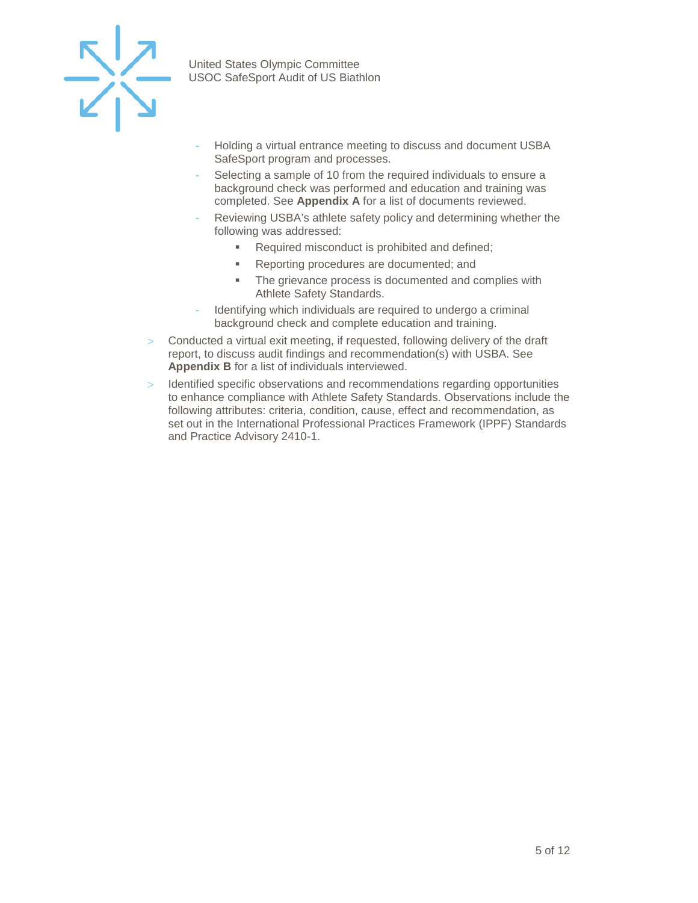

- Holding a virtual entrance meeting to discuss and document USBA SafeSport program and processes.
- Selecting a sample of 10 from the required individuals to ensure a background check was performed and education and training was completed. See **Appendix A** for a list of documents reviewed.
- Reviewing USBA's athlete safety policy and determining whether the following was addressed:
	- Required misconduct is prohibited and defined;
	- Reporting procedures are documented; and
	- **The grievance process is documented and complies with** Athlete Safety Standards.
- Identifying which individuals are required to undergo a criminal background check and complete education and training.
- > Conducted a virtual exit meeting, if requested, following delivery of the draft report, to discuss audit findings and recommendation(s) with USBA. See **Appendix B** for a list of individuals interviewed.
- > Identified specific observations and recommendations regarding opportunities to enhance compliance with Athlete Safety Standards. Observations include the following attributes: criteria, condition, cause, effect and recommendation, as set out in the International Professional Practices Framework (IPPF) Standards and Practice Advisory 2410-1.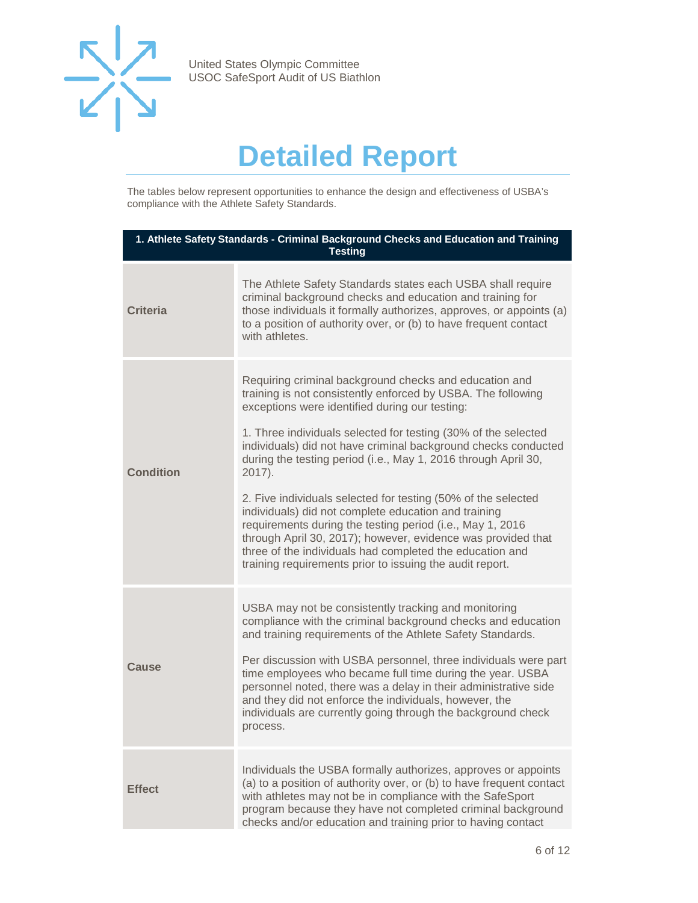

## **Detailed Report**

<span id="page-5-0"></span>The tables below represent opportunities to enhance the design and effectiveness of USBA's compliance with the Athlete Safety Standards.

| 1. Athlete Safety Standards - Criminal Background Checks and Education and Training<br><b>Testing</b> |                                                                                                                                                                                                                                                                                                                                                                                                                                                                                                                                                                                                                                                                                                                                                                        |  |
|-------------------------------------------------------------------------------------------------------|------------------------------------------------------------------------------------------------------------------------------------------------------------------------------------------------------------------------------------------------------------------------------------------------------------------------------------------------------------------------------------------------------------------------------------------------------------------------------------------------------------------------------------------------------------------------------------------------------------------------------------------------------------------------------------------------------------------------------------------------------------------------|--|
| <b>Criteria</b>                                                                                       | The Athlete Safety Standards states each USBA shall require<br>criminal background checks and education and training for<br>those individuals it formally authorizes, approves, or appoints (a)<br>to a position of authority over, or (b) to have frequent contact<br>with athletes.                                                                                                                                                                                                                                                                                                                                                                                                                                                                                  |  |
| <b>Condition</b>                                                                                      | Requiring criminal background checks and education and<br>training is not consistently enforced by USBA. The following<br>exceptions were identified during our testing:<br>1. Three individuals selected for testing (30% of the selected<br>individuals) did not have criminal background checks conducted<br>during the testing period (i.e., May 1, 2016 through April 30,<br>2017).<br>2. Five individuals selected for testing (50% of the selected<br>individuals) did not complete education and training<br>requirements during the testing period (i.e., May 1, 2016<br>through April 30, 2017); however, evidence was provided that<br>three of the individuals had completed the education and<br>training requirements prior to issuing the audit report. |  |
| Cause                                                                                                 | USBA may not be consistently tracking and monitoring<br>compliance with the criminal background checks and education<br>and training requirements of the Athlete Safety Standards.<br>Per discussion with USBA personnel, three individuals were part<br>time employees who became full time during the year. USBA<br>personnel noted, there was a delay in their administrative side<br>and they did not enforce the individuals, however, the<br>individuals are currently going through the background check<br>process.                                                                                                                                                                                                                                            |  |
| <b>Effect</b>                                                                                         | Individuals the USBA formally authorizes, approves or appoints<br>(a) to a position of authority over, or (b) to have frequent contact<br>with athletes may not be in compliance with the SafeSport<br>program because they have not completed criminal background<br>checks and/or education and training prior to having contact                                                                                                                                                                                                                                                                                                                                                                                                                                     |  |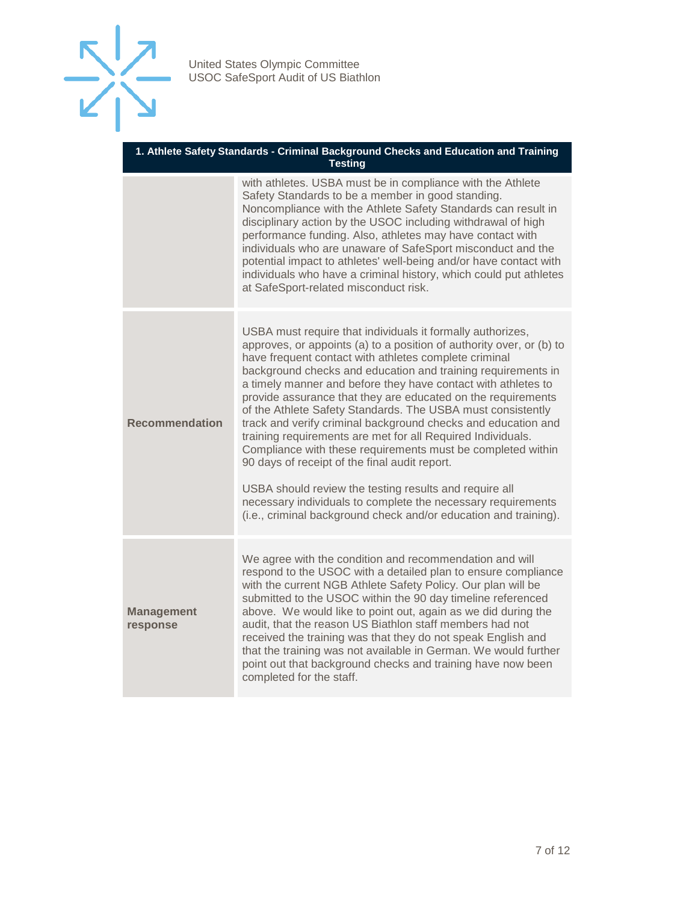

| 1. Athlete Safety Standards - Criminal Background Checks and Education and Training<br><b>Testing</b> |                                                                                                                                                                                                                                                                                                                                                                                                                                                                                                                                                                                                                                                                                                                                                                                                                                                                                                           |  |
|-------------------------------------------------------------------------------------------------------|-----------------------------------------------------------------------------------------------------------------------------------------------------------------------------------------------------------------------------------------------------------------------------------------------------------------------------------------------------------------------------------------------------------------------------------------------------------------------------------------------------------------------------------------------------------------------------------------------------------------------------------------------------------------------------------------------------------------------------------------------------------------------------------------------------------------------------------------------------------------------------------------------------------|--|
|                                                                                                       | with athletes. USBA must be in compliance with the Athlete<br>Safety Standards to be a member in good standing.<br>Noncompliance with the Athlete Safety Standards can result in<br>disciplinary action by the USOC including withdrawal of high<br>performance funding. Also, athletes may have contact with<br>individuals who are unaware of SafeSport misconduct and the<br>potential impact to athletes' well-being and/or have contact with<br>individuals who have a criminal history, which could put athletes<br>at SafeSport-related misconduct risk.                                                                                                                                                                                                                                                                                                                                           |  |
| <b>Recommendation</b>                                                                                 | USBA must require that individuals it formally authorizes,<br>approves, or appoints (a) to a position of authority over, or (b) to<br>have frequent contact with athletes complete criminal<br>background checks and education and training requirements in<br>a timely manner and before they have contact with athletes to<br>provide assurance that they are educated on the requirements<br>of the Athlete Safety Standards. The USBA must consistently<br>track and verify criminal background checks and education and<br>training requirements are met for all Required Individuals.<br>Compliance with these requirements must be completed within<br>90 days of receipt of the final audit report.<br>USBA should review the testing results and require all<br>necessary individuals to complete the necessary requirements<br>(i.e., criminal background check and/or education and training). |  |
| <b>Management</b><br>response                                                                         | We agree with the condition and recommendation and will<br>respond to the USOC with a detailed plan to ensure compliance<br>with the current NGB Athlete Safety Policy. Our plan will be<br>submitted to the USOC within the 90 day timeline referenced<br>above. We would like to point out, again as we did during the<br>audit, that the reason US Biathlon staff members had not<br>received the training was that they do not speak English and<br>that the training was not available in German. We would further<br>point out that background checks and training have now been<br>completed for the staff.                                                                                                                                                                                                                                                                                        |  |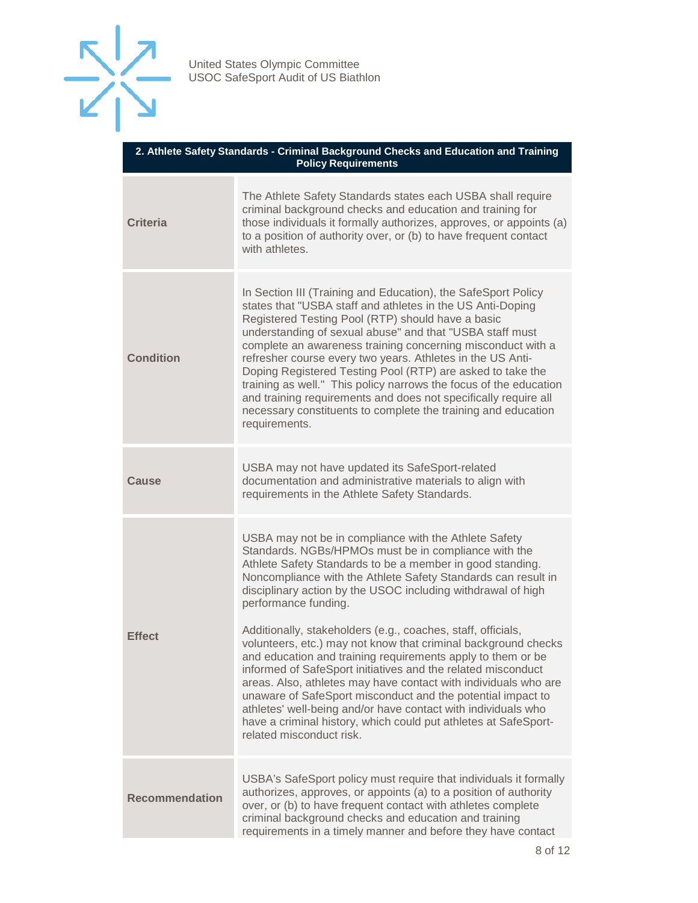

| 2. Athlete Safety Standards - Criminal Background Checks and Education and Training<br><b>Policy Requirements</b> |                                                                                                                                                                                                                                                                                                                                                                                                                                                                                                                                                                                                                                                                                                                                                                                                                                                                                                        |  |
|-------------------------------------------------------------------------------------------------------------------|--------------------------------------------------------------------------------------------------------------------------------------------------------------------------------------------------------------------------------------------------------------------------------------------------------------------------------------------------------------------------------------------------------------------------------------------------------------------------------------------------------------------------------------------------------------------------------------------------------------------------------------------------------------------------------------------------------------------------------------------------------------------------------------------------------------------------------------------------------------------------------------------------------|--|
| <b>Criteria</b>                                                                                                   | The Athlete Safety Standards states each USBA shall require<br>criminal background checks and education and training for<br>those individuals it formally authorizes, approves, or appoints (a)<br>to a position of authority over, or (b) to have frequent contact<br>with athletes.                                                                                                                                                                                                                                                                                                                                                                                                                                                                                                                                                                                                                  |  |
| <b>Condition</b>                                                                                                  | In Section III (Training and Education), the SafeSport Policy<br>states that "USBA staff and athletes in the US Anti-Doping<br>Registered Testing Pool (RTP) should have a basic<br>understanding of sexual abuse" and that "USBA staff must<br>complete an awareness training concerning misconduct with a<br>refresher course every two years. Athletes in the US Anti-<br>Doping Registered Testing Pool (RTP) are asked to take the<br>training as well." This policy narrows the focus of the education<br>and training requirements and does not specifically require all<br>necessary constituents to complete the training and education<br>requirements.                                                                                                                                                                                                                                      |  |
| <b>Cause</b>                                                                                                      | USBA may not have updated its SafeSport-related<br>documentation and administrative materials to align with<br>requirements in the Athlete Safety Standards.                                                                                                                                                                                                                                                                                                                                                                                                                                                                                                                                                                                                                                                                                                                                           |  |
| <b>Effect</b>                                                                                                     | USBA may not be in compliance with the Athlete Safety<br>Standards. NGBs/HPMOs must be in compliance with the<br>Athlete Safety Standards to be a member in good standing.<br>Noncompliance with the Athlete Safety Standards can result in<br>disciplinary action by the USOC including withdrawal of high<br>performance funding.<br>Additionally, stakeholders (e.g., coaches, staff, officials,<br>volunteers, etc.) may not know that criminal background checks<br>and education and training requirements apply to them or be<br>informed of SafeSport initiatives and the related misconduct<br>areas. Also, athletes may have contact with individuals who are<br>unaware of SafeSport misconduct and the potential impact to<br>athletes' well-being and/or have contact with individuals who<br>have a criminal history, which could put athletes at SafeSport-<br>related misconduct risk. |  |
| <b>Recommendation</b>                                                                                             | USBA's SafeSport policy must require that individuals it formally<br>authorizes, approves, or appoints (a) to a position of authority<br>over, or (b) to have frequent contact with athletes complete<br>criminal background checks and education and training<br>requirements in a timely manner and before they have contact                                                                                                                                                                                                                                                                                                                                                                                                                                                                                                                                                                         |  |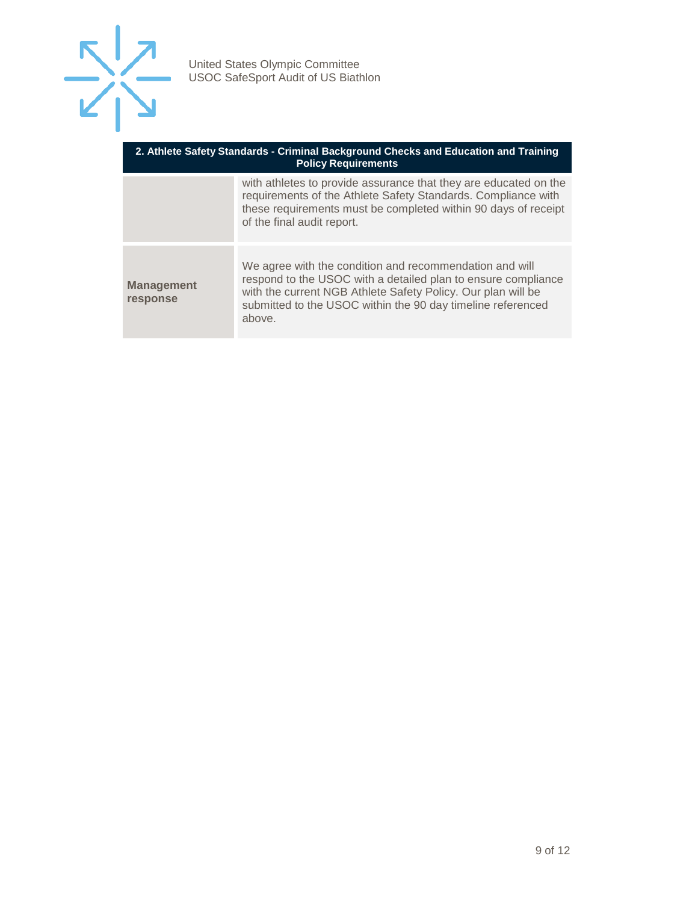

| 2. Athlete Safety Standards - Criminal Background Checks and Education and Training<br><b>Policy Requirements</b> |                                                                                                                                                                                                                                                                   |  |
|-------------------------------------------------------------------------------------------------------------------|-------------------------------------------------------------------------------------------------------------------------------------------------------------------------------------------------------------------------------------------------------------------|--|
|                                                                                                                   | with athletes to provide assurance that they are educated on the<br>requirements of the Athlete Safety Standards. Compliance with<br>these requirements must be completed within 90 days of receipt<br>of the final audit report.                                 |  |
| <b>Management</b><br>response                                                                                     | We agree with the condition and recommendation and will<br>respond to the USOC with a detailed plan to ensure compliance<br>with the current NGB Athlete Safety Policy. Our plan will be<br>submitted to the USOC within the 90 day timeline referenced<br>above. |  |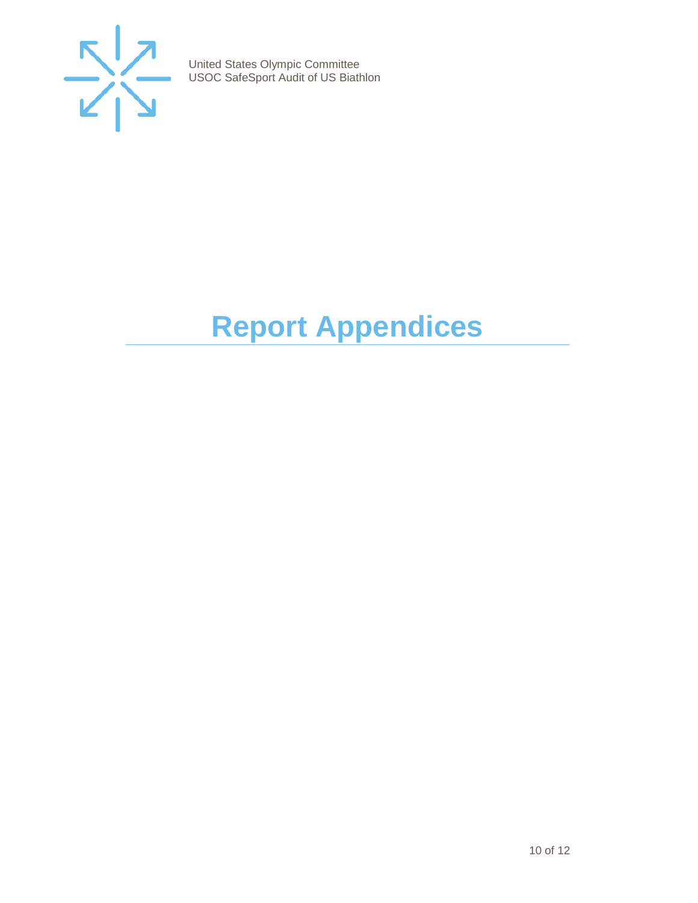

## <span id="page-9-0"></span>**Report Appendices**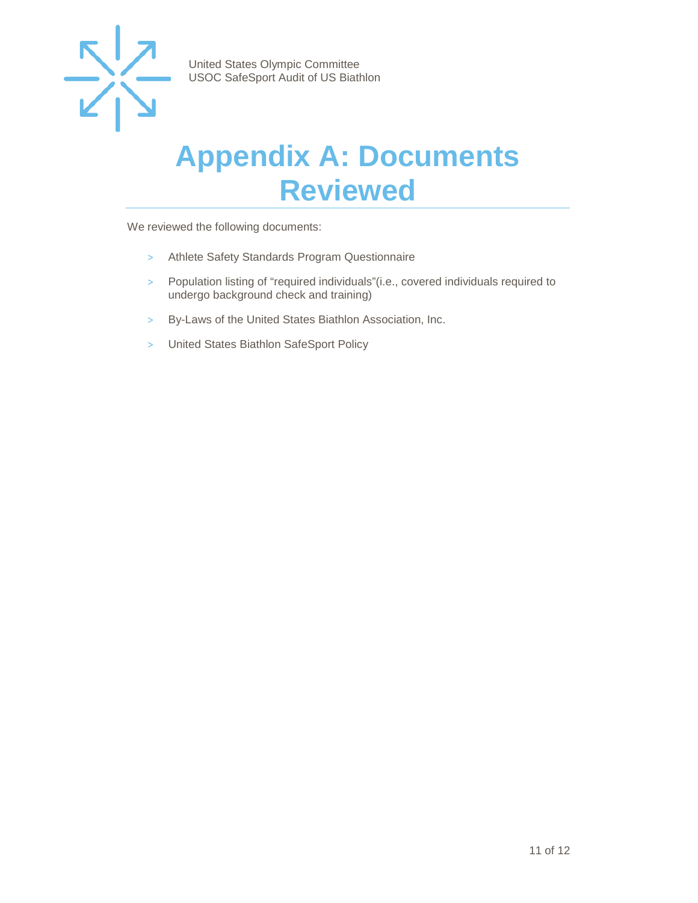

### <span id="page-10-0"></span>**Appendix A: Documents Reviewed**

We reviewed the following documents:

- > Athlete Safety Standards Program Questionnaire
- > Population listing of "required individuals"(i.e., covered individuals required to undergo background check and training)
- > By-Laws of the United States Biathlon Association, Inc.
- > United States Biathlon SafeSport Policy